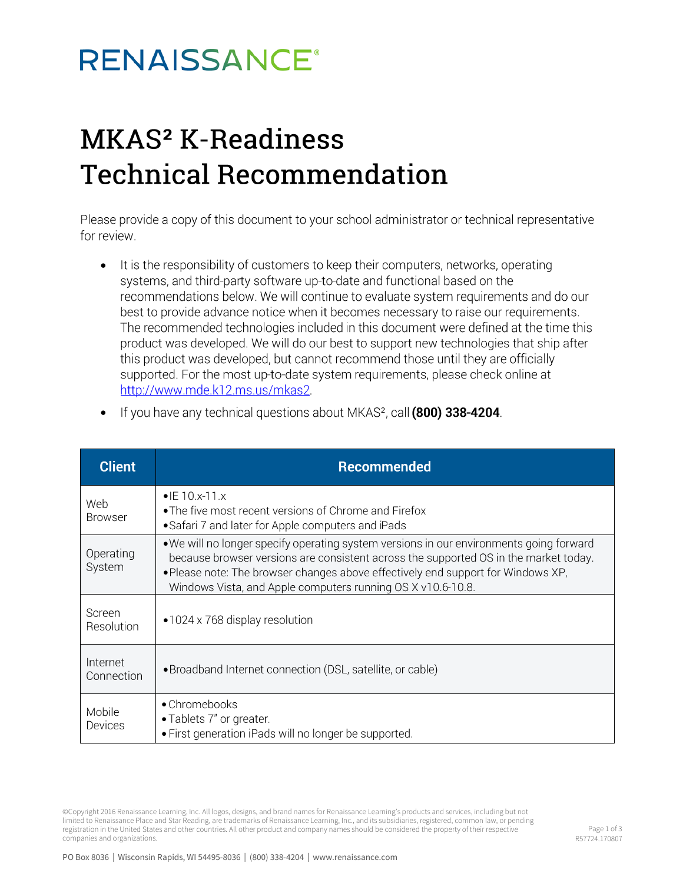## **RENAISSANCE®**

#### MKAS<sup>2</sup> K-Readiness **Technical Recommendation**

Please provide a copy of this document to your school administrator or technical representative for review.

• It is the responsibility of customers to keep their computers, networks, operating systems, and third-party software up-to-date and functional based on the recommendations below. We will continue to evaluate system requirements and do our best to provide advance notice when it becomes necessary to raise our requirements. The recommended technologies included in this document were defined at the time this product was developed. We will do our best to support new technologies that ship after this product was developed, but cannot recommend those until they are officially supported. For the most up-to-date system requirements, please check online at http://www.mde.k12.ms.us/mkas2.

| <b>Client</b>          | <b>Recommended</b>                                                                                                                                                                                                                                                                                                                 |  |  |  |  |
|------------------------|------------------------------------------------------------------------------------------------------------------------------------------------------------------------------------------------------------------------------------------------------------------------------------------------------------------------------------|--|--|--|--|
| Web<br><b>Browser</b>  | $\bullet$ IE 10.x-11.x<br>• The five most recent versions of Chrome and Firefox<br>• Safari 7 and later for Apple computers and iPads                                                                                                                                                                                              |  |  |  |  |
| Operating<br>System    | . We will no longer specify operating system versions in our environments going forward<br>because browser versions are consistent across the supported OS in the market today.<br>. Please note: The browser changes above effectively end support for Windows XP,<br>Windows Vista, and Apple computers running OS X v10.6-10.8. |  |  |  |  |
| Screen<br>Resolution   | $\bullet$ 1024 x 768 display resolution                                                                                                                                                                                                                                                                                            |  |  |  |  |
| Internet<br>Connection | • Broadband Internet connection (DSL, satellite, or cable)                                                                                                                                                                                                                                                                         |  |  |  |  |
| Mobile<br>Devices      | • Chromebooks<br>• Tablets 7" or greater.<br>• First generation iPads will no longer be supported.                                                                                                                                                                                                                                 |  |  |  |  |

If you have any technical questions about MKAS<sup>2</sup>, call (800) 338-4204. •

©Copyright 2016 Renaissance Learning, Inc. All logos, designs, and brand names for Renaissance Learning's products and services, including but not limited to Renaissance Place and Star Reading, are trademarks of Renaissance Learning, Inc., and its subsidiaries, registered, common law, or pending registration in the United States and other countries. All other product and company names should be considered the property of their respective companies and organizations.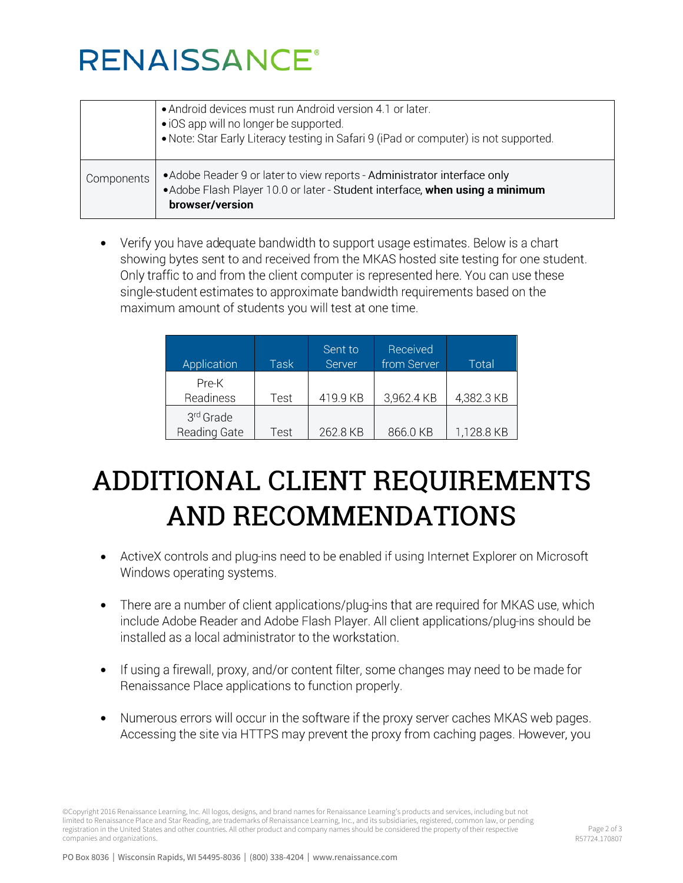# **RENAISSANCE®**

|            | • Android devices must run Android version 4.1 or later.<br>• iOS app will no longer be supported.<br>• Note: Star Early Literacy testing in Safari 9 (iPad or computer) is not supported. |
|------------|--------------------------------------------------------------------------------------------------------------------------------------------------------------------------------------------|
| Components | • Adobe Reader 9 or later to view reports - Administrator interface only<br>• Adobe Flash Player 10.0 or later - Student interface, when using a minimum<br>browser/version                |

Verify you have adequate bandwidth to support usage estimates. Below is a chart • showing bytes sent to and received from the MKAS hosted site testing for one student. Only traffic to and from the client computer is represented here. You can use these single-student estimates to approximate bandwidth requirements based on the maximum amount of students you will test at one time.

| Application               | Task | Sent to<br>Server | Received<br>from Server | Total      |
|---------------------------|------|-------------------|-------------------------|------------|
| Pre-K<br>Readiness        | Test | 419.9 KB          | 3,962.4 KB              | 4,382.3 KB |
| 3rd Grade<br>Reading Gate | Test | 262.8 KB          | 866.0 KB                | 1,128.8 KB |

### ADDITIONAL CLIENT REQUIREMENTS **AND RECOMMENDATIONS**

- ActiveX controls and plug-ins need to be enabled if using Internet Explorer on Microsoft Windows operating systems.
- There are a number of client applications/plug-ins that are required for MKAS use, which  $\bullet$ include Adobe Reader and Adobe Flash Player. All client applications/plug-ins should be installed as a local administrator to the workstation.
- If using a firewall, proxy, and/or content filter, some changes may need to be made for Renaissance Place applications to function properly.
- Numerous errors will occur in the software if the proxy server caches MKAS web pages. •Accessing the site via HTTPS may prevent the proxy from caching pages. However, you

©Copyright 2016 Renaissance Learning, Inc. All logos, designs, and brand names for Renaissance Learning's products and services, including but not limited to Renaissance Place and Star Reading, are trademarks of Renaissance Learning, Inc., and its subsidiaries, registered, common law, or pending registration in the United States and other countries. All other product and company names should be considered the property of their respective companies and organizations.